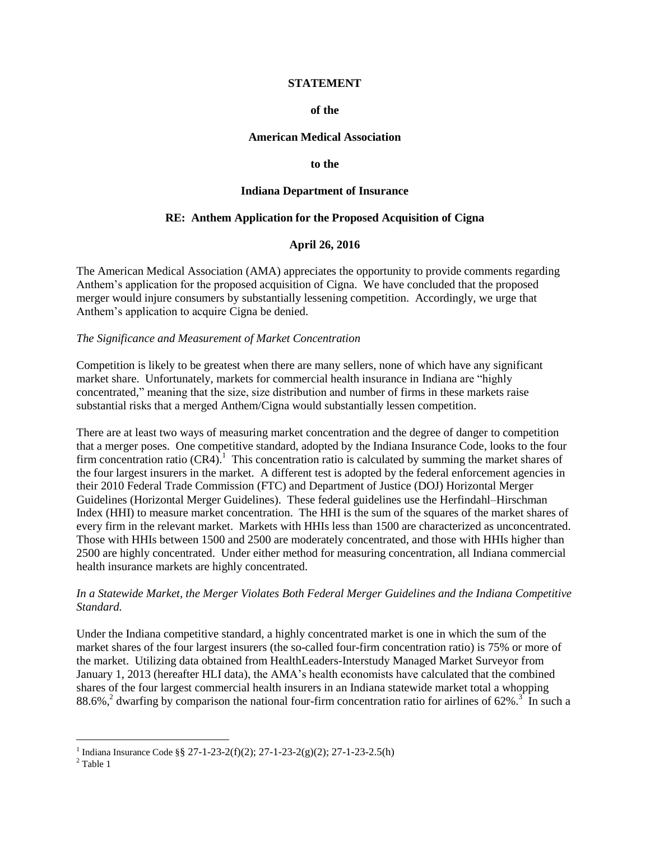#### **STATEMENT**

#### **of the**

#### **American Medical Association**

#### **to the**

#### **Indiana Department of Insurance**

### **RE: Anthem Application for the Proposed Acquisition of Cigna**

### **April 26, 2016**

The American Medical Association (AMA) appreciates the opportunity to provide comments regarding Anthem's application for the proposed acquisition of Cigna. We have concluded that the proposed merger would injure consumers by substantially lessening competition. Accordingly, we urge that Anthem's application to acquire Cigna be denied.

#### *The Significance and Measurement of Market Concentration*

Competition is likely to be greatest when there are many sellers, none of which have any significant market share. Unfortunately, markets for commercial health insurance in Indiana are "highly concentrated," meaning that the size, size distribution and number of firms in these markets raise substantial risks that a merged Anthem/Cigna would substantially lessen competition.

There are at least two ways of measuring market concentration and the degree of danger to competition that a merger poses. One competitive standard, adopted by the Indiana Insurance Code, looks to the four firm concentration ratio  $(CR4)$ .<sup>1</sup> This concentration ratio is calculated by summing the market shares of the four largest insurers in the market. A different test is adopted by the federal enforcement agencies in their 2010 Federal Trade Commission (FTC) and Department of Justice (DOJ) Horizontal Merger Guidelines (Horizontal Merger Guidelines). These federal guidelines use the Herfindahl–Hirschman Index (HHI) to measure market concentration. The HHI is the sum of the squares of the market shares of every firm in the relevant market. Markets with HHIs less than 1500 are characterized as unconcentrated. Those with HHIs between 1500 and 2500 are moderately concentrated, and those with HHIs higher than 2500 are highly concentrated. Under either method for measuring concentration, all Indiana commercial health insurance markets are highly concentrated.

### *In a Statewide Market, the Merger Violates Both Federal Merger Guidelines and the Indiana Competitive Standard.*

Under the Indiana competitive standard, a highly concentrated market is one in which the sum of the market shares of the four largest insurers (the so-called four-firm concentration ratio) is 75% or more of the market. Utilizing data obtained from HealthLeaders-Interstudy Managed Market Surveyor from January 1, 2013 (hereafter HLI data), the AMA's health economists have calculated that the combined shares of the four largest commercial health insurers in an Indiana statewide market total a whopping 88.6%,<sup>2</sup> dwarfing by comparison the national four-firm concentration ratio for airlines of 62%.<sup>3</sup> In such a

 $\overline{a}$ 

<sup>&</sup>lt;sup>1</sup> Indiana Insurance Code §§ 27-1-23-2(f)(2); 27-1-23-2(g)(2); 27-1-23-2.5(h)

<sup>2</sup> Table 1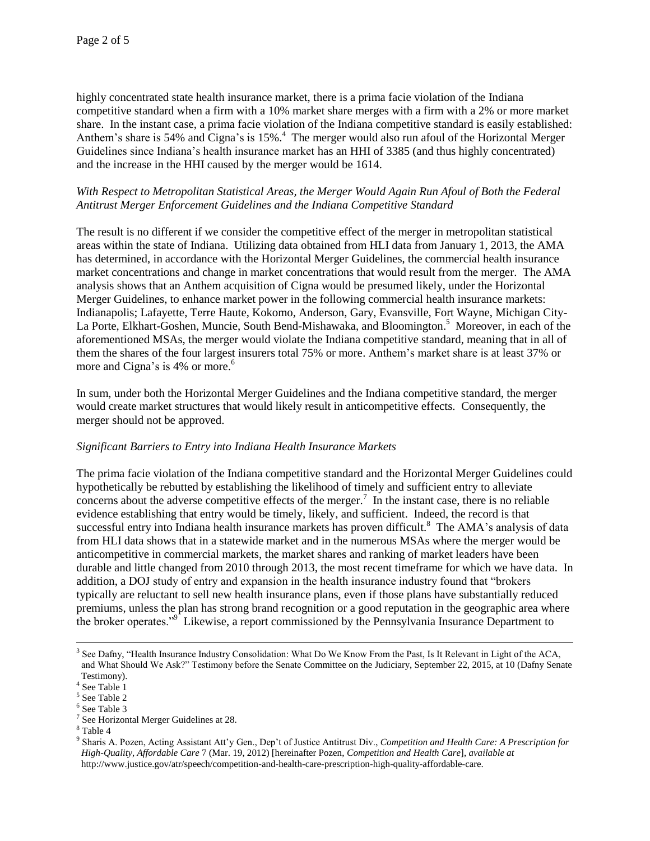highly concentrated state health insurance market, there is a prima facie violation of the Indiana competitive standard when a firm with a 10% market share merges with a firm with a 2% or more market share. In the instant case, a prima facie violation of the Indiana competitive standard is easily established: Anthem's share is 54% and Cigna's is  $15\%$ .<sup>4</sup> The merger would also run afoul of the Horizontal Merger Guidelines since Indiana's health insurance market has an HHI of 3385 (and thus highly concentrated) and the increase in the HHI caused by the merger would be 1614.

### *With Respect to Metropolitan Statistical Areas, the Merger Would Again Run Afoul of Both the Federal Antitrust Merger Enforcement Guidelines and the Indiana Competitive Standard*

The result is no different if we consider the competitive effect of the merger in metropolitan statistical areas within the state of Indiana. Utilizing data obtained from HLI data from January 1, 2013, the AMA has determined, in accordance with the Horizontal Merger Guidelines, the commercial health insurance market concentrations and change in market concentrations that would result from the merger. The AMA analysis shows that an Anthem acquisition of Cigna would be presumed likely, under the Horizontal Merger Guidelines, to enhance market power in the following commercial health insurance markets: Indianapolis; Lafayette, Terre Haute, Kokomo, Anderson, Gary, Evansville, Fort Wayne, Michigan City-La Porte, Elkhart-Goshen, Muncie, South Bend-Mishawaka, and Bloomington.<sup>5</sup> Moreover, in each of the aforementioned MSAs, the merger would violate the Indiana competitive standard, meaning that in all of them the shares of the four largest insurers total 75% or more. Anthem's market share is at least 37% or more and Cigna's is  $4%$  or more.<sup>6</sup>

In sum, under both the Horizontal Merger Guidelines and the Indiana competitive standard, the merger would create market structures that would likely result in anticompetitive effects. Consequently, the merger should not be approved.

### *Significant Barriers to Entry into Indiana Health Insurance Markets*

The prima facie violation of the Indiana competitive standard and the Horizontal Merger Guidelines could hypothetically be rebutted by establishing the likelihood of timely and sufficient entry to alleviate concerns about the adverse competitive effects of the merger.<sup>7</sup> In the instant case, there is no reliable evidence establishing that entry would be timely, likely, and sufficient. Indeed, the record is that successful entry into Indiana health insurance markets has proven difficult.<sup>8</sup> The AMA's analysis of data from HLI data shows that in a statewide market and in the numerous MSAs where the merger would be anticompetitive in commercial markets, the market shares and ranking of market leaders have been durable and little changed from 2010 through 2013, the most recent timeframe for which we have data. In addition, a DOJ study of entry and expansion in the health insurance industry found that "brokers typically are reluctant to sell new health insurance plans, even if those plans have substantially reduced premiums, unless the plan has strong brand recognition or a good reputation in the geographic area where the broker operates."<sup>9</sup> Likewise, a report commissioned by the Pennsylvania Insurance Department to

 $\overline{a}$ 

<sup>&</sup>lt;sup>3</sup> See Dafny, "Health Insurance Industry Consolidation: What Do We Know From the Past, Is It Relevant in Light of the ACA, and What Should We Ask?" Testimony before the Senate Committee on the Judiciary, September 22, 2015, at 10 (Dafny Senate Testimony).

<sup>4</sup> See Table 1

<sup>5</sup> See Table 2

<sup>6</sup> See Table 3

 $7$  See Horizontal Merger Guidelines at 28.

<sup>8</sup> Table 4

<sup>9</sup> Sharis A. Pozen, Acting Assistant Att'y Gen., Dep't of Justice Antitrust Div., *Competition and Health Care: A Prescription for High-Quality, Affordable Care* 7 (Mar. 19, 2012) [hereinafter Pozen, *Competition and Health Care*], *available at*  http://www.justice.gov/atr/speech/competition-and-health-care-prescription-high-quality-affordable-care.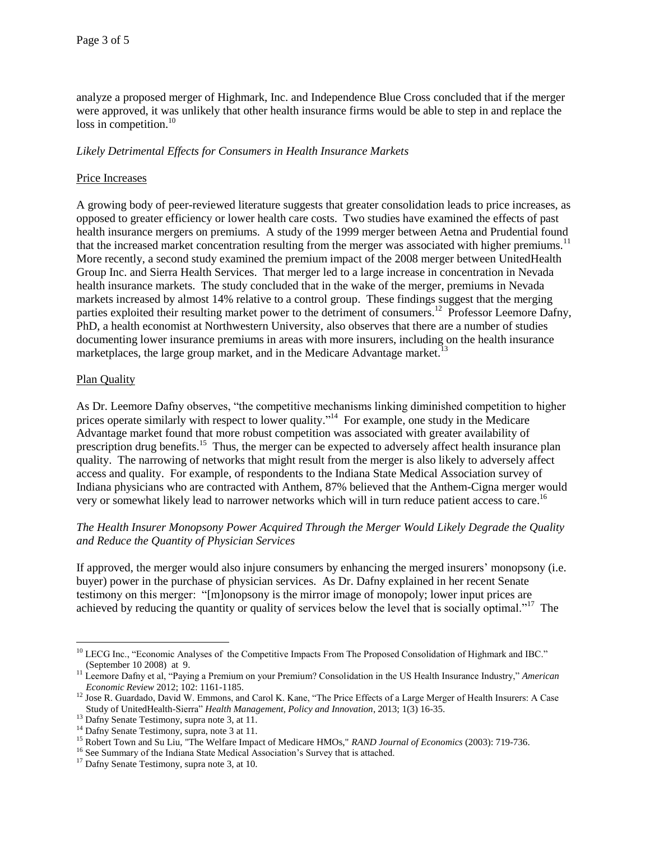analyze a proposed merger of Highmark, Inc. and Independence Blue Cross concluded that if the merger were approved, it was unlikely that other health insurance firms would be able to step in and replace the loss in competition.<sup>10</sup>

### *Likely Detrimental Effects for Consumers in Health Insurance Markets*

### Price Increases

A growing body of peer-reviewed literature suggests that greater consolidation leads to price increases, as opposed to greater efficiency or lower health care costs. Two studies have examined the effects of past health insurance mergers on premiums. A study of the 1999 merger between Aetna and Prudential found that the increased market concentration resulting from the merger was associated with higher premiums.<sup>11</sup> More recently, a second study examined the premium impact of the 2008 merger between UnitedHealth Group Inc. and Sierra Health Services. That merger led to a large increase in concentration in Nevada health insurance markets. The study concluded that in the wake of the merger, premiums in Nevada markets increased by almost 14% relative to a control group. These findings suggest that the merging parties exploited their resulting market power to the detriment of consumers.<sup>12</sup> Professor Leemore Dafny, PhD, a health economist at Northwestern University, also observes that there are a number of studies documenting lower insurance premiums in areas with more insurers, including on the health insurance marketplaces, the large group market, and in the Medicare Advantage market.<sup>13</sup>

### Plan Quality

 $\overline{a}$ 

As Dr. Leemore Dafny observes, "the competitive mechanisms linking diminished competition to higher prices operate similarly with respect to lower quality."<sup>14</sup> For example, one study in the Medicare Advantage market found that more robust competition was associated with greater availability of prescription drug benefits.<sup>15</sup> Thus, the merger can be expected to adversely affect health insurance plan quality. The narrowing of networks that might result from the merger is also likely to adversely affect access and quality. For example, of respondents to the Indiana State Medical Association survey of Indiana physicians who are contracted with Anthem, 87% believed that the Anthem-Cigna merger would very or somewhat likely lead to narrower networks which will in turn reduce patient access to care.<sup>16</sup>

### *The Health Insurer Monopsony Power Acquired Through the Merger Would Likely Degrade the Quality and Reduce the Quantity of Physician Services*

If approved, the merger would also injure consumers by enhancing the merged insurers' monopsony (i.e. buyer) power in the purchase of physician services. As Dr. Dafny explained in her recent Senate testimony on this merger: "[m]onopsony is the mirror image of monopoly; lower input prices are achieved by reducing the quantity or quality of services below the level that is socially optimal."<sup>17</sup> The

<sup>&</sup>lt;sup>10</sup> LECG Inc., "Economic Analyses of the Competitive Impacts From The Proposed Consolidation of Highmark and IBC." (September 10 2008) at 9.

<sup>11</sup> Leemore Dafny et al, "Paying a Premium on your Premium? Consolidation in the US Health Insurance Industry," *American Economic Review* 2012; 102: 1161-1185.

<sup>&</sup>lt;sup>12</sup> Jose R. Guardado, David W. Emmons, and Carol K. Kane, "The Price Effects of a Large Merger of Health Insurers: A Case Study of UnitedHealth-Sierra" *Health Management, Policy and Innovation*, 2013; 1(3) 16-35.

<sup>&</sup>lt;sup>13</sup> Dafny Senate Testimony, supra note 3, at 11.

<sup>&</sup>lt;sup>14</sup> Dafny Senate Testimony, supra, note 3 at 11.

<sup>15</sup> Robert Town and Su Liu, "The Welfare Impact of Medicare HMOs," *RAND Journal of Economics* (2003): 719-736.

<sup>&</sup>lt;sup>16</sup> See Summary of the Indiana State Medical Association's Survey that is attached.

<sup>&</sup>lt;sup>17</sup> Dafny Senate Testimony, supra note 3, at 10.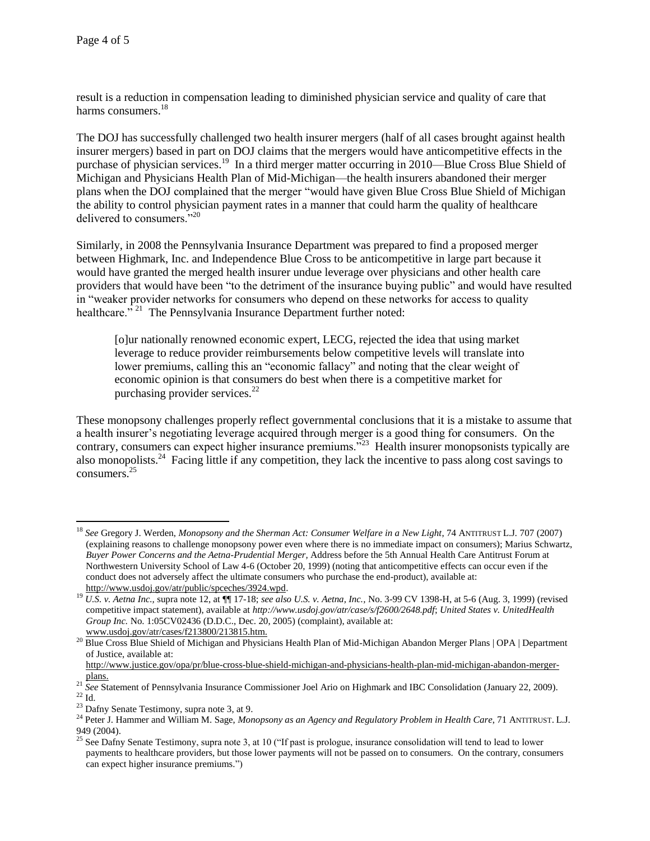$\overline{a}$ 

result is a reduction in compensation leading to diminished physician service and quality of care that harms consumers.<sup>18</sup>

The DOJ has successfully challenged two health insurer mergers (half of all cases brought against health insurer mergers) based in part on DOJ claims that the mergers would have anticompetitive effects in the purchase of physician services.<sup>19</sup> In a third merger matter occurring in 2010—Blue Cross Blue Shield of Michigan and Physicians Health Plan of Mid-Michigan—the health insurers abandoned their merger plans when the DOJ complained that the merger "would have given Blue Cross Blue Shield of Michigan the ability to control physician payment rates in a manner that could harm the quality of healthcare delivered to consumers."<sup>20</sup>

Similarly, in 2008 the Pennsylvania Insurance Department was prepared to find a proposed merger between Highmark, Inc. and Independence Blue Cross to be anticompetitive in large part because it would have granted the merged health insurer undue leverage over physicians and other health care providers that would have been "to the detriment of the insurance buying public" and would have resulted in "weaker provider networks for consumers who depend on these networks for access to quality healthcare."<sup>21</sup> The Pennsylvania Insurance Department further noted:

[o]ur nationally renowned economic expert, LECG, rejected the idea that using market leverage to reduce provider reimbursements below competitive levels will translate into lower premiums, calling this an "economic fallacy" and noting that the clear weight of economic opinion is that consumers do best when there is a competitive market for purchasing provider services. $^{22}$ 

These monopsony challenges properly reflect governmental conclusions that it is a mistake to assume that a health insurer's negotiating leverage acquired through merger is a good thing for consumers. On the contrary, consumers can expect higher insurance premiums.<sup>723</sup> Health insurer monopsonists typically are also monopolists.<sup>24</sup> Facing little if any competition, they lack the incentive to pass along cost savings to consumers.<sup>25</sup>

<sup>20</sup> Blue Cross Blue Shield of Michigan and Physicians Health Plan of Mid-Michigan Abandon Merger Plans | OPA | Department of Justice, available at:

<sup>18</sup> *See* Gregory J. Werden, *Monopsony and the Sherman Act: Consumer Welfare in a New Light*, 74 ANTITRUST L.J*.* 707 (2007) (explaining reasons to challenge monopsony power even where there is no immediate impact on consumers); Marius Schwartz, *Buyer Power Concerns and the Aetna-Prudential Merger,* Address before the 5th Annual Health Care Antitrust Forum at Northwestern University School of Law 4-6 (October 20, 1999) (noting that anticompetitive effects can occur even if the conduct does not adversely affect the ultimate consumers who purchase the end-product), available at: [http://www.usdoj.gov/atr/public/spceches/3924.wpd.](http://www.usdoj.gov/atr/public/spceches/3924.wpd)

<sup>19</sup> *U.S. v. Aetna Inc.,* supra note 12, at ¶¶ 17-18; *see also U.S. v. Aetna, Inc.,* No. 3-99 CV 1398-H, at 5-6 (Aug. 3, 1999) (revised competitive impact statement), available at *http://www.usdoj.gov/atr/case/s/f2600/2648.pdf*; *United States v. UnitedHealth Group Inc.* No. 1:05CV02436 (D.D.C., Dec. 20, 2005) (complaint), available at: [www.usdoj.gov/atr/cases/f213800/213815.htm.](http://www.usdoj.gov/atr/cases/f213800/213815.htm)

[http://www.justice.gov/opa/pr/blue-cross-blue-shield-michigan-and-physicians-health-plan-mid-michigan-abandon-merger](http://www.justice.gov/opa/pr/blue-cross-blue-shield-michigan-and-physicians-health-plan-mid-michigan-abandon-merger-plans)[plans.](http://www.justice.gov/opa/pr/blue-cross-blue-shield-michigan-and-physicians-health-plan-mid-michigan-abandon-merger-plans)

<sup>&</sup>lt;sup>21</sup> See Statement of Pennsylvania Insurance Commissioner Joel Ario on Highmark and IBC Consolidation (January 22, 2009).  $^{22}$  Id.  $\,$ 

<sup>23</sup> Dafny Senate Testimony, supra note 3, at 9.

<sup>&</sup>lt;sup>24</sup> Peter J. Hammer and William M. Sage, *Monopsony as an Agency and Regulatory Problem in Health Care*, 71 ANTITRUST. L.J. 949 (2004).

See Dafny Senate Testimony, supra note 3, at 10 ("If past is prologue, insurance consolidation will tend to lead to lower payments to healthcare providers, but those lower payments will not be passed on to consumers. On the contrary, consumers can expect higher insurance premiums.")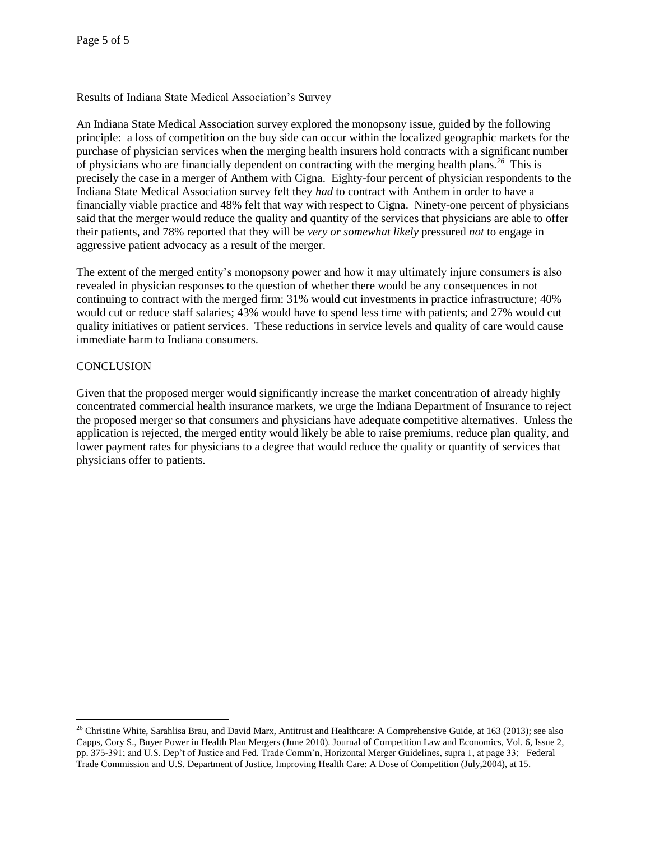### Results of Indiana State Medical Association's Survey

An Indiana State Medical Association survey explored the monopsony issue, guided by the following principle: a loss of competition on the buy side can occur within the localized geographic markets for the purchase of physician services when the merging health insurers hold contracts with a significant number of physicians who are financially dependent on contracting with the merging health plans.*<sup>26</sup>* This is precisely the case in a merger of Anthem with Cigna. Eighty-four percent of physician respondents to the Indiana State Medical Association survey felt they *had* to contract with Anthem in order to have a financially viable practice and 48% felt that way with respect to Cigna. Ninety-one percent of physicians said that the merger would reduce the quality and quantity of the services that physicians are able to offer their patients, and 78% reported that they will be *very or somewhat likely* pressured *not* to engage in aggressive patient advocacy as a result of the merger.

The extent of the merged entity's monopsony power and how it may ultimately injure consumers is also revealed in physician responses to the question of whether there would be any consequences in not continuing to contract with the merged firm: 31% would cut investments in practice infrastructure; 40% would cut or reduce staff salaries; 43% would have to spend less time with patients; and 27% would cut quality initiatives or patient services. These reductions in service levels and quality of care would cause immediate harm to Indiana consumers.

### **CONCLUSION**

 $\overline{a}$ 

Given that the proposed merger would significantly increase the market concentration of already highly concentrated commercial health insurance markets, we urge the Indiana Department of Insurance to reject the proposed merger so that consumers and physicians have adequate competitive alternatives. Unless the application is rejected, the merged entity would likely be able to raise premiums, reduce plan quality, and lower payment rates for physicians to a degree that would reduce the quality or quantity of services that physicians offer to patients.

<sup>&</sup>lt;sup>26</sup> Christine White, Sarahlisa Brau, and David Marx, Antitrust and Healthcare: A Comprehensive Guide, at 163 (2013); see also Capps, Cory S., Buyer Power in Health Plan Mergers (June 2010). Journal of Competition Law and Economics, Vol. 6, Issue 2, pp. 375-391; and U.S. Dep't of Justice and Fed. Trade Comm'n, Horizontal Merger Guidelines, supra 1, at page 33; Federal Trade Commission and U.S. Department of Justice, Improving Health Care: A Dose of Competition (July,2004), at 15.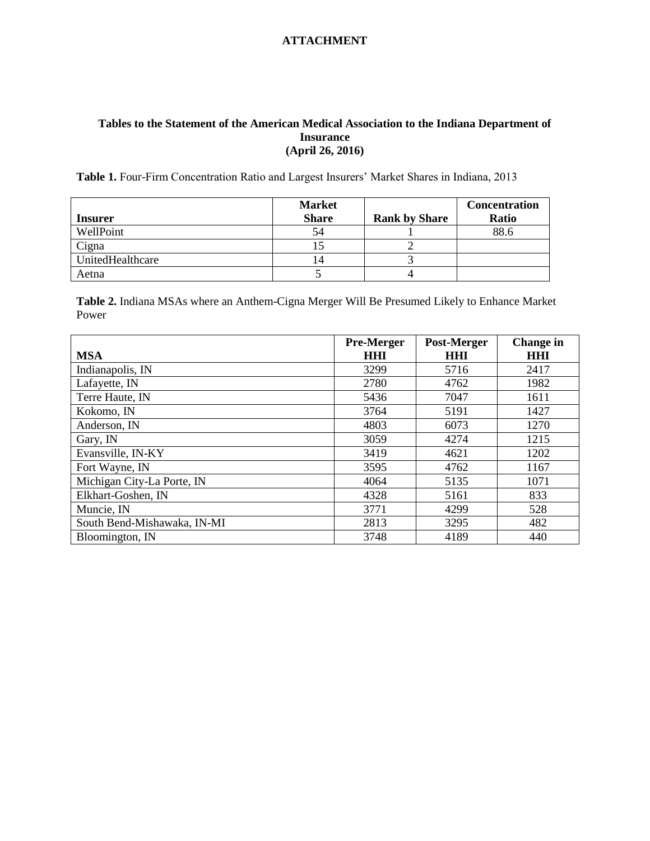## **Tables to the Statement of the American Medical Association to the Indiana Department of Insurance (April 26, 2016)**

Table 1. Four-Firm Concentration Ratio and Largest Insurers' Market Shares in Indiana, 2013

|                  | <b>Market</b> |                      | <b>Concentration</b> |
|------------------|---------------|----------------------|----------------------|
| <b>Insurer</b>   | <b>Share</b>  | <b>Rank by Share</b> | Ratio                |
| WellPoint        | 54            |                      | 88.6                 |
| Cigna            |               |                      |                      |
| UnitedHealthcare | 14            |                      |                      |
| Aetna            |               |                      |                      |

**Table 2.** Indiana MSAs where an Anthem-Cigna Merger Will Be Presumed Likely to Enhance Market Power

|                             | <b>Pre-Merger</b> | Post-Merger | <b>Change in</b> |  |
|-----------------------------|-------------------|-------------|------------------|--|
| <b>MSA</b>                  | HHI               | <b>HHI</b>  | <b>HHI</b>       |  |
| Indianapolis, IN            | 3299              | 5716        | 2417             |  |
| Lafayette, IN               | 2780              | 4762        | 1982             |  |
| Terre Haute, IN             | 5436              | 7047        | 1611             |  |
| Kokomo, IN                  | 3764              | 5191        | 1427             |  |
| Anderson, IN                | 4803              | 6073        | 1270             |  |
| Gary, IN                    | 3059              | 4274        | 1215             |  |
| Evansville, IN-KY           | 3419              | 4621        | 1202             |  |
| Fort Wayne, IN              | 3595              | 4762        | 1167             |  |
| Michigan City-La Porte, IN  | 4064              | 5135        | 1071             |  |
| Elkhart-Goshen, IN          | 4328              | 5161        | 833              |  |
| Muncie, IN                  | 3771              | 4299        | 528              |  |
| South Bend-Mishawaka, IN-MI | 2813              | 3295        | 482              |  |
| Bloomington, IN             | 3748              | 4189        | 440              |  |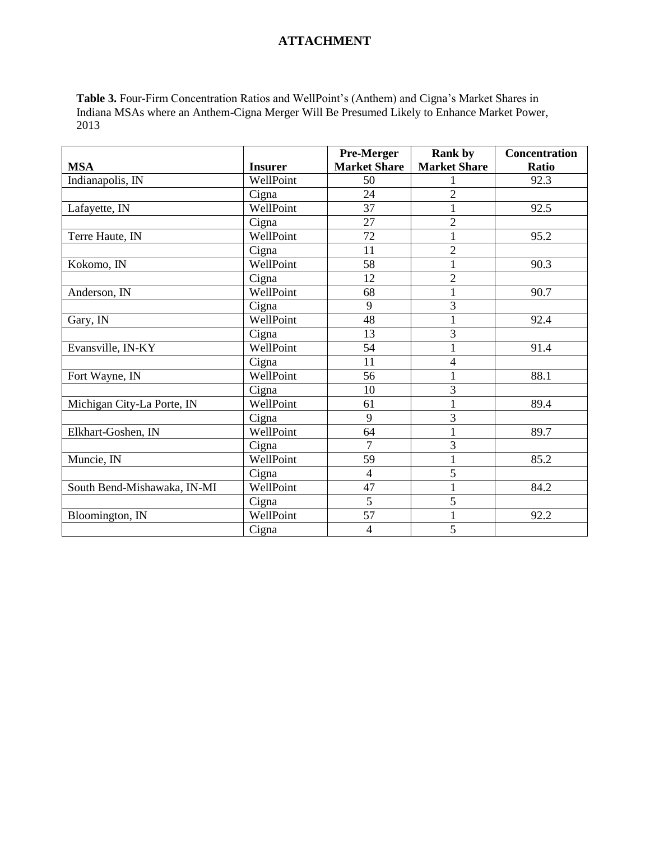**Table 3.** Four-Firm Concentration Ratios and WellPoint's (Anthem) and Cigna's Market Shares in Indiana MSAs where an Anthem-Cigna Merger Will Be Presumed Likely to Enhance Market Power, 2013

|                             |                | Pre-Merger          | <b>Rank by</b>      | Concentration |
|-----------------------------|----------------|---------------------|---------------------|---------------|
| <b>MSA</b>                  | <b>Insurer</b> | <b>Market Share</b> | <b>Market Share</b> | Ratio         |
| Indianapolis, IN            | WellPoint      | 50                  |                     | 92.3          |
|                             | Cigna          | 24                  | $\overline{2}$      |               |
| Lafayette, IN               | WellPoint      | 37                  | 1                   | 92.5          |
|                             | Cigna          | 27                  | $\overline{2}$      |               |
| Terre Haute, IN             | WellPoint      | 72                  | $\mathbf{1}$        | 95.2          |
|                             | Cigna          | 11                  | $\overline{2}$      |               |
| Kokomo, IN                  | WellPoint      | 58                  | $\mathbf{1}$        | 90.3          |
|                             | Cigna          | 12                  | $\overline{2}$      |               |
| Anderson, IN                | WellPoint      | 68                  | $\mathbf{1}$        | 90.7          |
|                             | Cigna          | 9                   | 3                   |               |
| Gary, IN                    | WellPoint      | 48                  | 1                   | 92.4          |
|                             | Cigna          | 13                  | 3                   |               |
| Evansville, IN-KY           | WellPoint      | 54                  | $\mathbf{1}$        | 91.4          |
|                             | Cigna          | 11                  | 4                   |               |
| Fort Wayne, IN              | WellPoint      | 56                  | 1                   | 88.1          |
|                             | Cigna          | 10                  | 3                   |               |
| Michigan City-La Porte, IN  | WellPoint      | 61                  | $\mathbf{1}$        | 89.4          |
|                             | Cigna          | 9                   | $\overline{3}$      |               |
| Elkhart-Goshen, IN          | WellPoint      | 64                  | $\mathbf{1}$        | 89.7          |
|                             | Cigna          | 7                   | $\mathfrak{Z}$      |               |
| Muncie, IN                  | WellPoint      | 59                  | $\mathbf{1}$        | 85.2          |
|                             | Cigna          | $\overline{4}$      | 5                   |               |
| South Bend-Mishawaka, IN-MI | WellPoint      | 47                  | $\mathbf{1}$        | 84.2          |
|                             | Cigna          | 5                   | 5                   |               |
| Bloomington, IN             | WellPoint      | 57                  | $\mathbf{1}$        | 92.2          |
|                             | Cigna          | 4                   | 5                   |               |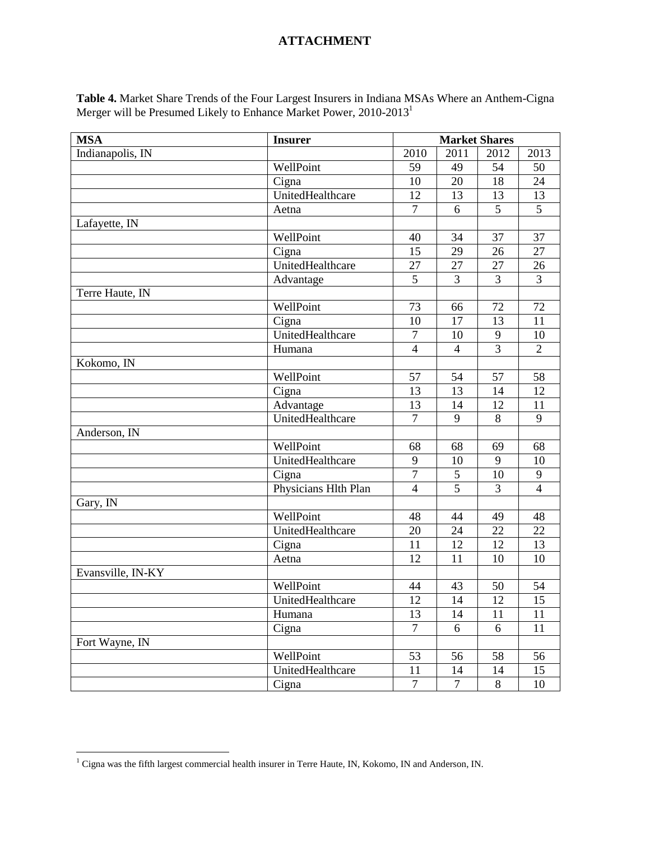**Table 4.** Market Share Trends of the Four Largest Insurers in Indiana MSAs Where an Anthem-Cigna Merger will be Presumed Likely to Enhance Market Power, 2010-2013<sup>1</sup>

| <b>MSA</b>        | <b>Insurer</b>       | <b>Market Shares</b> |                |                |                 |
|-------------------|----------------------|----------------------|----------------|----------------|-----------------|
| Indianapolis, IN  |                      | 2010                 | 2011           | 2012           | 2013            |
|                   | WellPoint            | 59                   | 49             | 54             | 50              |
|                   | Cigna                | 10                   | 20             | 18             | 24              |
|                   | UnitedHealthcare     | 12                   | 13             | 13             | 13              |
|                   | Aetna                | $\overline{7}$       | 6              | 5              | 5               |
| Lafayette, IN     |                      |                      |                |                |                 |
|                   | WellPoint            | 40                   | 34             | 37             | 37              |
|                   | Cigna                | 15                   | 29             | 26             | 27              |
|                   | UnitedHealthcare     | 27                   | 27             | 27             | 26              |
|                   | Advantage            | 5                    | 3              | $\overline{3}$ | $\overline{3}$  |
| Terre Haute, IN   |                      |                      |                |                |                 |
|                   | WellPoint            | 73                   | 66             | 72             | 72              |
|                   | Cigna                | 10                   | 17             | 13             | 11              |
|                   | UnitedHealthcare     | $\sqrt{ }$           | 10             | $\mathbf{9}$   | 10              |
|                   | Humana               | $\overline{4}$       | $\overline{4}$ | $\overline{3}$ | $\overline{2}$  |
| Kokomo, IN        |                      |                      |                |                |                 |
|                   | WellPoint            | 57                   | 54             | 57             | 58              |
|                   | Cigna                | 13                   | 13             | 14             | 12              |
|                   | Advantage            | 13                   | 14             | 12             | 11              |
|                   | UnitedHealthcare     | $\overline{7}$       | 9              | 8              | 9               |
| Anderson, IN      |                      |                      |                |                |                 |
|                   | WellPoint            | 68                   | 68             | 69             | 68              |
|                   | UnitedHealthcare     | 9                    | 10             | 9              | 10              |
|                   | Cigna                | $\overline{7}$       | $\mathfrak{S}$ | 10             | 9               |
|                   | Physicians Hlth Plan | $\overline{4}$       | $\overline{5}$ | $\overline{3}$ | $\overline{4}$  |
| Gary, IN          |                      |                      |                |                |                 |
|                   | WellPoint            | 48                   | 44             | 49             | 48              |
|                   | UnitedHealthcare     | 20                   | 24             | 22             | $\overline{22}$ |
|                   | Cigna                | 11                   | 12             | 12             | 13              |
|                   | Aetna                | 12                   | 11             | 10             | 10              |
| Evansville, IN-KY |                      |                      |                |                |                 |
|                   | WellPoint            | 44                   | 43             | 50             | 54              |
|                   | UnitedHealthcare     | 12                   | 14             | 12             | $\overline{15}$ |
|                   | Humana               | 13                   | 14             | 11             | 11              |
|                   | Cigna                | $\overline{7}$       | 6              | 6              | 11              |
| Fort Wayne, IN    |                      |                      |                |                |                 |
|                   | WellPoint            | 53                   | 56             | 58             | 56              |
|                   | UnitedHealthcare     | 11                   | 14             | 14             | 15              |
|                   | Cigna                | $\tau$               | $\overline{7}$ | 8              | 10              |

 $\overline{a}$ 

 $1$  Cigna was the fifth largest commercial health insurer in Terre Haute, IN, Kokomo, IN and Anderson, IN.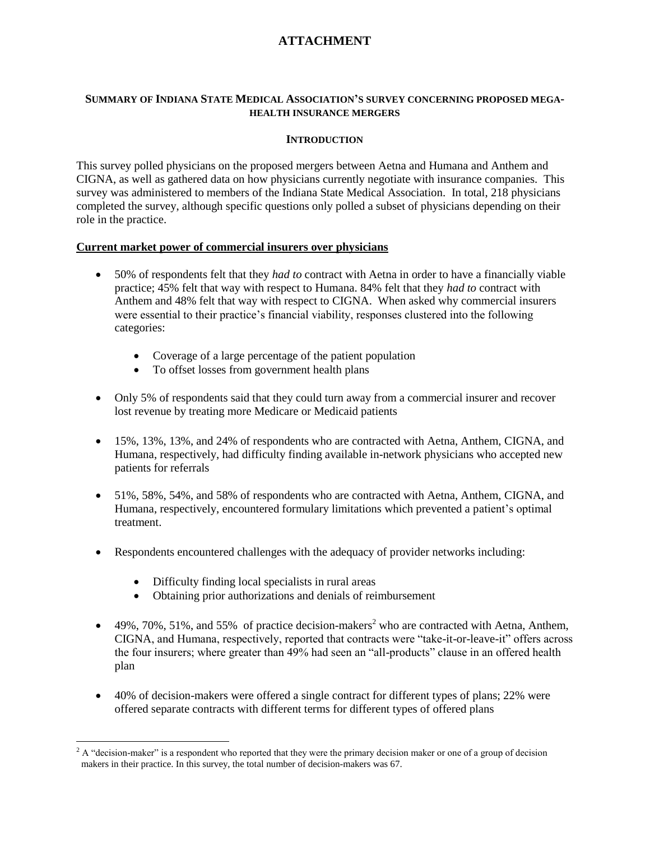### **SUMMARY OF INDIANA STATE MEDICAL ASSOCIATION'S SURVEY CONCERNING PROPOSED MEGA-HEALTH INSURANCE MERGERS**

### **INTRODUCTION**

This survey polled physicians on the proposed mergers between Aetna and Humana and Anthem and CIGNA, as well as gathered data on how physicians currently negotiate with insurance companies. This survey was administered to members of the Indiana State Medical Association. In total, 218 physicians completed the survey, although specific questions only polled a subset of physicians depending on their role in the practice.

### **Current market power of commercial insurers over physicians**

- 50% of respondents felt that they *had to* contract with Aetna in order to have a financially viable practice; 45% felt that way with respect to Humana. 84% felt that they *had to* contract with Anthem and 48% felt that way with respect to CIGNA. When asked why commercial insurers were essential to their practice's financial viability, responses clustered into the following categories:
	- Coverage of a large percentage of the patient population
	- To offset losses from government health plans
- Only 5% of respondents said that they could turn away from a commercial insurer and recover lost revenue by treating more Medicare or Medicaid patients
- 15%, 13%, 13%, and 24% of respondents who are contracted with Aetna, Anthem, CIGNA, and Humana, respectively, had difficulty finding available in-network physicians who accepted new patients for referrals
- 51%, 58%, 54%, and 58% of respondents who are contracted with Aetna, Anthem, CIGNA, and Humana, respectively, encountered formulary limitations which prevented a patient's optimal treatment.
- Respondents encountered challenges with the adequacy of provider networks including:
	- Difficulty finding local specialists in rural areas
	- Obtaining prior authorizations and denials of reimbursement
- $\bullet$  49%, 70%, 51%, and 55% of practice decision-makers<sup>2</sup> who are contracted with Aetna, Anthem, CIGNA, and Humana, respectively, reported that contracts were "take-it-or-leave-it" offers across the four insurers; where greater than 49% had seen an "all-products" clause in an offered health plan
- 40% of decision-makers were offered a single contract for different types of plans; 22% were offered separate contracts with different terms for different types of offered plans

 $\overline{a}$  $2 A$  "decision-maker" is a respondent who reported that they were the primary decision maker or one of a group of decision makers in their practice. In this survey, the total number of decision-makers was 67.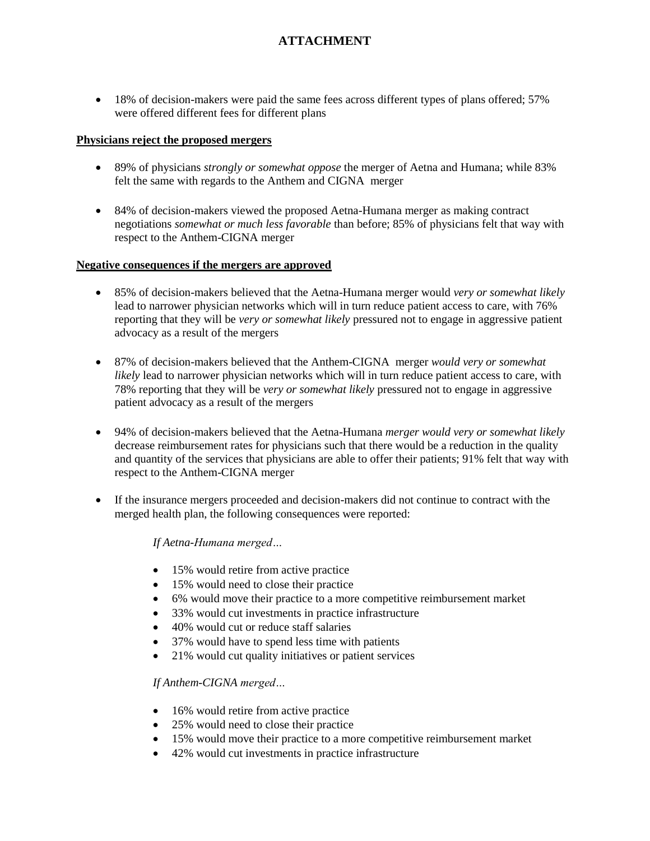• 18% of decision-makers were paid the same fees across different types of plans offered; 57% were offered different fees for different plans

### **Physicians reject the proposed mergers**

- 89% of physicians *strongly or somewhat oppose* the merger of Aetna and Humana; while 83% felt the same with regards to the Anthem and CIGNA merger
- 84% of decision-makers viewed the proposed Aetna-Humana merger as making contract negotiations *somewhat or much less favorable* than before; 85% of physicians felt that way with respect to the Anthem-CIGNA merger

### **Negative consequences if the mergers are approved**

- 85% of decision-makers believed that the Aetna-Humana merger would *very or somewhat likely* lead to narrower physician networks which will in turn reduce patient access to care, with 76% reporting that they will be *very or somewhat likely* pressured not to engage in aggressive patient advocacy as a result of the mergers
- 87% of decision-makers believed that the Anthem-CIGNA merger *would very or somewhat likely* lead to narrower physician networks which will in turn reduce patient access to care, with 78% reporting that they will be *very or somewhat likely* pressured not to engage in aggressive patient advocacy as a result of the mergers
- 94% of decision-makers believed that the Aetna-Humana *merger would very or somewhat likely* decrease reimbursement rates for physicians such that there would be a reduction in the quality and quantity of the services that physicians are able to offer their patients; 91% felt that way with respect to the Anthem-CIGNA merger
- If the insurance mergers proceeded and decision-makers did not continue to contract with the merged health plan, the following consequences were reported:

## *If Aetna-Humana merged…*

- 15% would retire from active practice
- 15% would need to close their practice
- 6% would move their practice to a more competitive reimbursement market
- 33% would cut investments in practice infrastructure
- 40% would cut or reduce staff salaries
- 37% would have to spend less time with patients
- 21% would cut quality initiatives or patient services

## *If Anthem-CIGNA merged…*

- 16% would retire from active practice
- 25% would need to close their practice
- 15% would move their practice to a more competitive reimbursement market
- 42% would cut investments in practice infrastructure